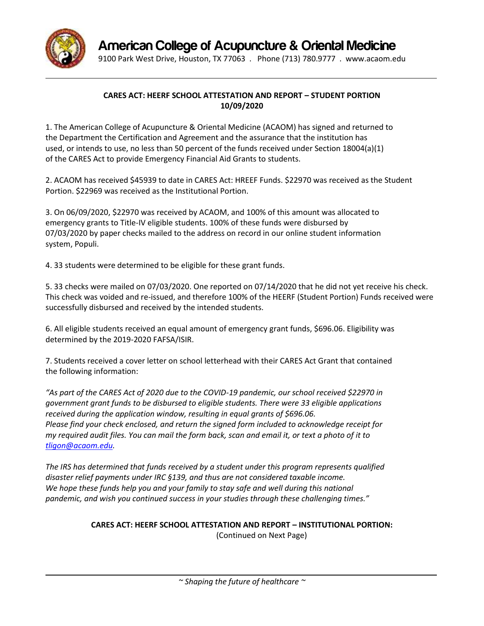

**American College of Acupuncture & Oriental Medicine**

9100 Park West Drive, Houston, TX 77063 . Phone (713) 780.9777 . [www.acaom.edu](http://www.acaom.edu/)

## **CARES ACT: HEERF SCHOOL ATTESTATION AND REPORT – STUDENT PORTION 10/09/2020**

1. The American College of Acupuncture & Oriental Medicine (ACAOM) has signed and returned to the Department the Certification and Agreement and the assurance that the institution has used, or intends to use, no less than 50 percent of the funds received under Section 18004(a)(1) of the CARES Act to provide Emergency Financial Aid Grants to students.

2. ACAOM has received \$45939 to date in CARES Act: HREEF Funds. \$22970 was received as the Student Portion. \$22969 was received as the Institutional Portion.

3. On 06/09/2020, \$22970 was received by ACAOM, and 100% of this amount was allocated to emergency grants to Title-IV eligible students. 100% of these funds were disbursed by 07/03/2020 by paper checks mailed to the address on record in our online student information system, Populi.

4. 33 students were determined to be eligible for these grant funds.

5. 33 checks were mailed on 07/03/2020. One reported on 07/14/2020 that he did not yet receive his check. This check was voided and re-issued, and therefore 100% of the HEERF (Student Portion) Funds received were successfully disbursed and received by the intended students.

6. All eligible students received an equal amount of emergency grant funds, \$696.06. Eligibility was determined by the 2019-2020 FAFSA/ISIR.

7. Students received a cover letter on school letterhead with their CARES Act Grant that contained the following information:

*"As part of the CARES Act of 2020 due to the COVID-19 pandemic, our school received \$22970 in government grant funds to be disbursed to eligible students. There were 33 eligible applications received during the application window, resulting in equal grants of \$696.06. Please find your check enclosed, and return the signed form included to acknowledge receipt for my required audit files. You can mail the form back, scan and email it, or text a photo of it to [tligon@acaom.edu.](mailto:tligon@acaom.edu)*

*The IRS has determined that funds received by a student under this program represents qualified disaster relief payments under IRC §139, and thus are not considered taxable income. We hope these funds help you and your family to stay safe and well during this national pandemic, and wish you continued success in your studies through these challenging times."*

**CARES ACT: HEERF SCHOOL ATTESTATION AND REPORT – INSTITUTIONAL PORTION:**

(Continued on Next Page)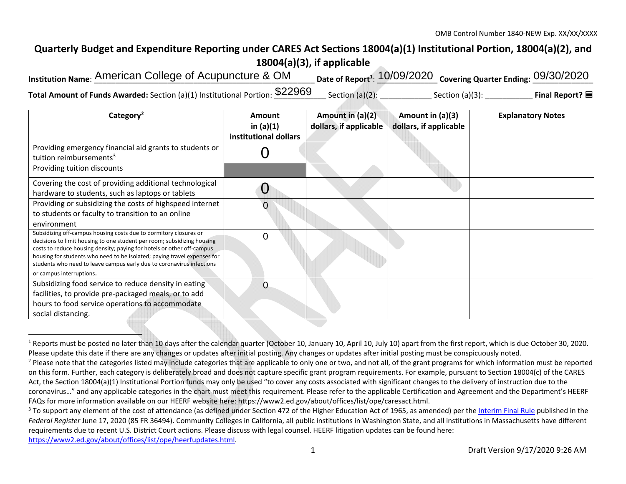## **Quarterly Budget and Expenditure Reporting under CARES Act Sections 18004(a)(1) Institutional Portion, 18004(a)(2), and 18004(a)(3), if applicable**

| Institution Name: American College of Acupuncture & OM                            | Date of Report <sup>1</sup> : 10/09/2020 Covering Quarter Ending: 09/30/2020 |                    |                              |
|-----------------------------------------------------------------------------------|------------------------------------------------------------------------------|--------------------|------------------------------|
| Total Amount of Funds Awarded: Section (a)(1) Institutional Portion: \$22969 Sec. | Section (a)(2):                                                              | Section $(a)(3)$ : | Final Report? $\blacksquare$ |

| Category <sup>2</sup>                                                                                                                                                                                                                                                                                                                                                                                   | <b>Amount</b><br>in $(a)(1)$<br>institutional dollars | Amount in (a)(2)<br>dollars, if applicable | Amount in $(a)(3)$<br>dollars, if applicable | <b>Explanatory Notes</b> |
|---------------------------------------------------------------------------------------------------------------------------------------------------------------------------------------------------------------------------------------------------------------------------------------------------------------------------------------------------------------------------------------------------------|-------------------------------------------------------|--------------------------------------------|----------------------------------------------|--------------------------|
| Providing emergency financial aid grants to students or<br>tuition reimbursements <sup>3</sup>                                                                                                                                                                                                                                                                                                          |                                                       |                                            |                                              |                          |
| Providing tuition discounts                                                                                                                                                                                                                                                                                                                                                                             |                                                       |                                            |                                              |                          |
| Covering the cost of providing additional technological<br>hardware to students, such as laptops or tablets                                                                                                                                                                                                                                                                                             |                                                       |                                            |                                              |                          |
| Providing or subsidizing the costs of highspeed internet<br>to students or faculty to transition to an online<br>environment                                                                                                                                                                                                                                                                            |                                                       |                                            |                                              |                          |
| Subsidizing off-campus housing costs due to dormitory closures or<br>decisions to limit housing to one student per room; subsidizing housing<br>costs to reduce housing density; paying for hotels or other off-campus<br>housing for students who need to be isolated; paying travel expenses for<br>students who need to leave campus early due to coronavirus infections<br>or campus interruptions. | $\Omega$                                              |                                            |                                              |                          |
| Subsidizing food service to reduce density in eating<br>facilities, to provide pre-packaged meals, or to add<br>hours to food service operations to accommodate<br>social distancing.                                                                                                                                                                                                                   |                                                       |                                            |                                              |                          |

<sup>&</sup>lt;sup>1</sup> Reports must be posted no later than 10 days after the calendar quarter (October 10, January 10, April 10, July 10) apart from the first report, which is due October 30, 2020. Please update this date if there are any changes or updates after initial posting. Any changes or updates after initial posting must be conspicuously noted.

<sup>&</sup>lt;sup>2</sup> Please note that the categories listed may include categories that are applicable to only one or two, and not all, of the grant programs for which information must be reported on this form. Further, each category is deliberately broad and does not capture specific grant program requirements. For example, pursuant to Section 18004(c) of the CARES Act, the Section 18004(a)(1) Institutional Portion funds may only be used "to cover any costs associated with significant changes to the delivery of instruction due to the coronavirus…" and any applicable categories in the chart must meet this requirement. Please refer to the applicable Certification and Agreement and the Department's HEERF FAQs for more information available on our HEERF website here: https://www2.ed.gov/about/offices/list/ope/caresact.html.

<sup>&</sup>lt;sup>3</sup> To support any element of the cost of attendance (as defined under Section 472 of the Higher Education Act of 1965, as amended) per the Interim Final Rule published in the *Federal Register* June 17, 2020 (85 FR 36494). Community Colleges in California, all public institutions in Washington State, and all institutions in Massachusetts have different requirements due to recent U.S. District Court actions. Please discuss with legal counsel. HEERF litigation updates can be found here: